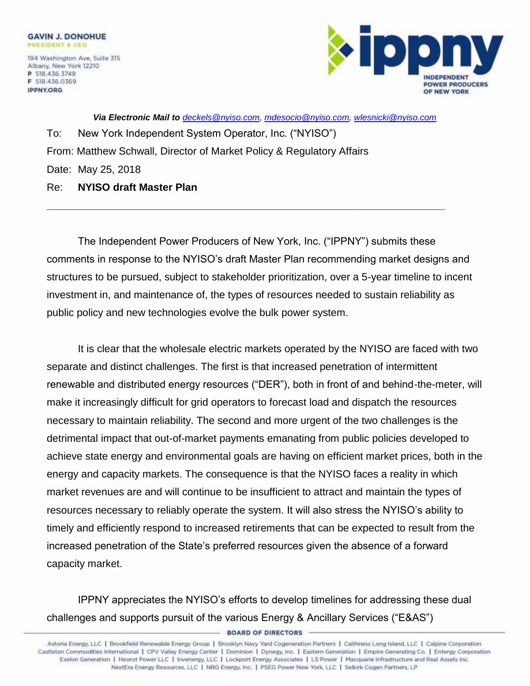

*Via Electronic Mail to [deckels@nyiso.com,](mailto:deckels@nyiso.com) [mdesocio@nyiso.com,](mailto:mdesocio@nyiso.com) [wlesnicki@nyiso.com](mailto:wlesnicki@nyiso.com)*

To: New York Independent System Operator, Inc. ("NYISO") From: Matthew Schwall, Director of Market Policy & Regulatory Affairs Date: May 25, 2018

Re: **NYISO draft Master Plan**

The Independent Power Producers of New York, Inc. ("IPPNY") submits these comments in response to the NYISO's draft Master Plan recommending market designs and structures to be pursued, subject to stakeholder prioritization, over a 5-year timeline to incent investment in, and maintenance of, the types of resources needed to sustain reliability as public policy and new technologies evolve the bulk power system.

**\_\_\_\_\_\_\_\_\_\_\_\_\_\_\_\_\_\_\_\_\_\_\_\_\_\_\_\_\_\_\_\_\_\_\_\_\_\_\_\_\_\_\_\_\_\_\_\_\_\_\_\_\_\_\_\_\_\_\_\_\_\_\_\_\_\_\_\_\_**

It is clear that the wholesale electric markets operated by the NYISO are faced with two separate and distinct challenges. The first is that increased penetration of intermittent renewable and distributed energy resources ("DER"), both in front of and behind-the-meter, will make it increasingly difficult for grid operators to forecast load and dispatch the resources necessary to maintain reliability. The second and more urgent of the two challenges is the detrimental impact that out-of-market payments emanating from public policies developed to achieve state energy and environmental goals are having on efficient market prices, both in the energy and capacity markets. The consequence is that the NYISO faces a reality in which market revenues are and will continue to be insufficient to attract and maintain the types of resources necessary to reliably operate the system. It will also stress the NYISO's ability to timely and efficiently respond to increased retirements that can be expected to result from the increased penetration of the State's preferred resources given the absence of a forward capacity market.

IPPNY appreciates the NYISO's efforts to develop timelines for addressing these dual challenges and supports pursuit of the various Energy & Ancillary Services ("E&AS")

Page | 1 Castleton Commodities International | CPV Valley Energy Center | Dominion | Dynegy, Inc. | Eastern Generation | Empire Generating Co. | Entergy Corporation Exelon Generation | Heorot Power LLC | Invenergy, LLC | Lockport Energy Associates | LS Power | Macquarie Infrastructure and Real Assets Inc. NextEra Energy Resources, LLC | NRG Energy, Inc. | PSEG Power New York, LLC | Selkirk Cogen Partners, LP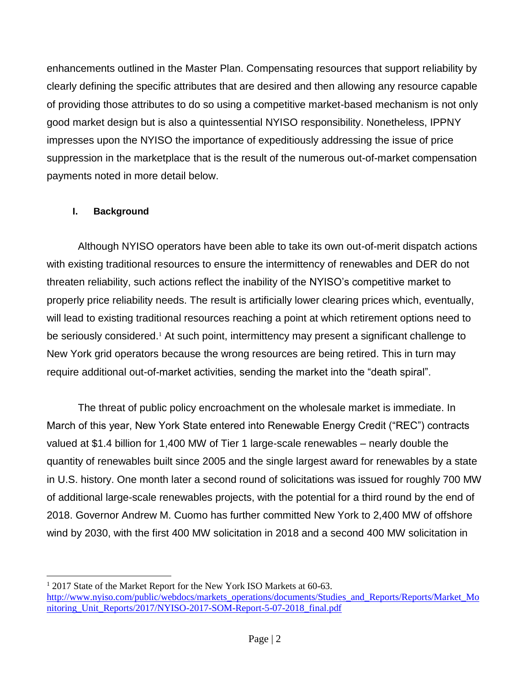enhancements outlined in the Master Plan. Compensating resources that support reliability by clearly defining the specific attributes that are desired and then allowing any resource capable of providing those attributes to do so using a competitive market-based mechanism is not only good market design but is also a quintessential NYISO responsibility. Nonetheless, IPPNY impresses upon the NYISO the importance of expeditiously addressing the issue of price suppression in the marketplace that is the result of the numerous out-of-market compensation payments noted in more detail below.

## **I. Background**

 $\overline{a}$ 

Although NYISO operators have been able to take its own out-of-merit dispatch actions with existing traditional resources to ensure the intermittency of renewables and DER do not threaten reliability, such actions reflect the inability of the NYISO's competitive market to properly price reliability needs. The result is artificially lower clearing prices which, eventually, will lead to existing traditional resources reaching a point at which retirement options need to be seriously considered.<sup>1</sup> At such point, intermittency may present a significant challenge to New York grid operators because the wrong resources are being retired. This in turn may require additional out-of-market activities, sending the market into the "death spiral".

The threat of public policy encroachment on the wholesale market is immediate. In March of this year, New York State entered into Renewable Energy Credit ("REC") contracts valued at \$1.4 billion for 1,400 MW of Tier 1 large-scale renewables – nearly double the quantity of renewables built since 2005 and the single largest award for renewables by a state in U.S. history. One month later a second round of solicitations was issued for roughly 700 MW of additional large-scale renewables projects, with the potential for a third round by the end of 2018. Governor Andrew M. Cuomo has further committed New York to 2,400 MW of offshore wind by 2030, with the first 400 MW solicitation in 2018 and a second 400 MW solicitation in

<sup>&</sup>lt;sup>1</sup> 2017 State of the Market Report for the New York ISO Markets at 60-63. [http://www.nyiso.com/public/webdocs/markets\\_operations/documents/Studies\\_and\\_Reports/Reports/Market\\_Mo](http://www.nyiso.com/public/webdocs/markets_operations/documents/Studies_and_Reports/Reports/Market_Monitoring_Unit_Reports/2017/NYISO-2017-SOM-Report-5-07-2018_final.pdf) [nitoring\\_Unit\\_Reports/2017/NYISO-2017-SOM-Report-5-07-2018\\_final.pdf](http://www.nyiso.com/public/webdocs/markets_operations/documents/Studies_and_Reports/Reports/Market_Monitoring_Unit_Reports/2017/NYISO-2017-SOM-Report-5-07-2018_final.pdf)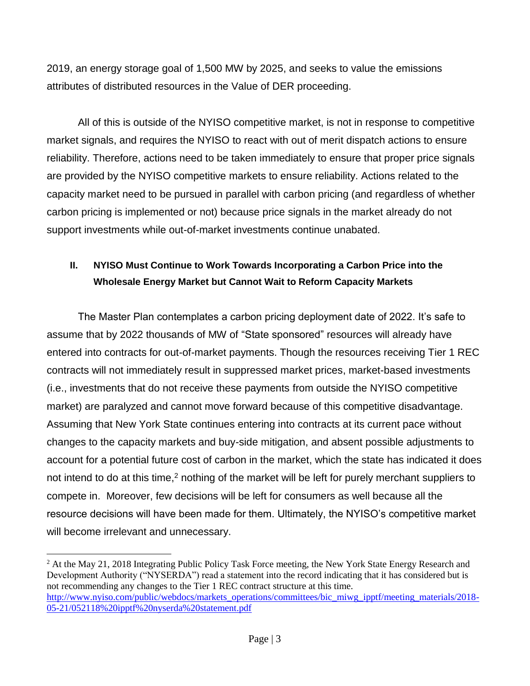2019, an energy storage goal of 1,500 MW by 2025, and seeks to value the emissions attributes of distributed resources in the Value of DER proceeding.

All of this is outside of the NYISO competitive market, is not in response to competitive market signals, and requires the NYISO to react with out of merit dispatch actions to ensure reliability. Therefore, actions need to be taken immediately to ensure that proper price signals are provided by the NYISO competitive markets to ensure reliability. Actions related to the capacity market need to be pursued in parallel with carbon pricing (and regardless of whether carbon pricing is implemented or not) because price signals in the market already do not support investments while out-of-market investments continue unabated.

## **II. NYISO Must Continue to Work Towards Incorporating a Carbon Price into the Wholesale Energy Market but Cannot Wait to Reform Capacity Markets**

The Master Plan contemplates a carbon pricing deployment date of 2022. It's safe to assume that by 2022 thousands of MW of "State sponsored" resources will already have entered into contracts for out-of-market payments. Though the resources receiving Tier 1 REC contracts will not immediately result in suppressed market prices, market-based investments (i.e., investments that do not receive these payments from outside the NYISO competitive market) are paralyzed and cannot move forward because of this competitive disadvantage. Assuming that New York State continues entering into contracts at its current pace without changes to the capacity markets and buy-side mitigation, and absent possible adjustments to account for a potential future cost of carbon in the market, which the state has indicated it does not intend to do at this time,<sup>2</sup> nothing of the market will be left for purely merchant suppliers to compete in. Moreover, few decisions will be left for consumers as well because all the resource decisions will have been made for them. Ultimately, the NYISO's competitive market will become irrelevant and unnecessary.

 $2$  At the May 21, 2018 Integrating Public Policy Task Force meeting, the New York State Energy Research and Development Authority ("NYSERDA") read a statement into the record indicating that it has considered but is not recommending any changes to the Tier 1 REC contract structure at this time. [http://www.nyiso.com/public/webdocs/markets\\_operations/committees/bic\\_miwg\\_ipptf/meeting\\_materials/2018-](http://www.nyiso.com/public/webdocs/markets_operations/committees/bic_miwg_ipptf/meeting_materials/2018-05-21/052118%20ipptf%20nyserda%20statement.pdf) [05-21/052118%20ipptf%20nyserda%20statement.pdf](http://www.nyiso.com/public/webdocs/markets_operations/committees/bic_miwg_ipptf/meeting_materials/2018-05-21/052118%20ipptf%20nyserda%20statement.pdf)

 $\overline{a}$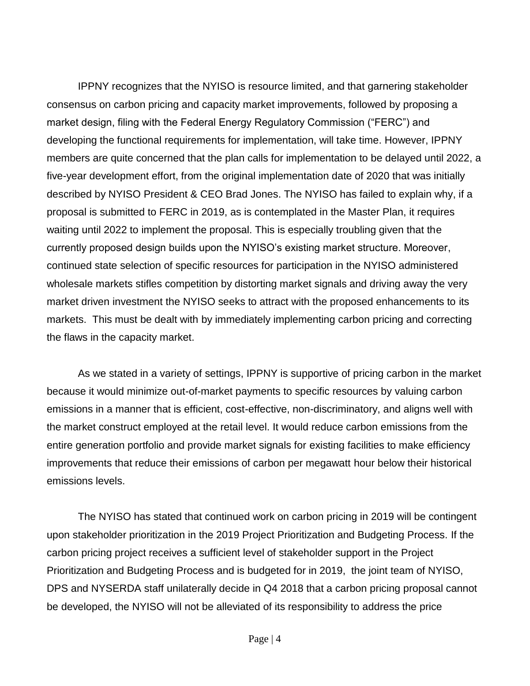IPPNY recognizes that the NYISO is resource limited, and that garnering stakeholder consensus on carbon pricing and capacity market improvements, followed by proposing a market design, filing with the Federal Energy Regulatory Commission ("FERC") and developing the functional requirements for implementation, will take time. However, IPPNY members are quite concerned that the plan calls for implementation to be delayed until 2022, a five-year development effort, from the original implementation date of 2020 that was initially described by NYISO President & CEO Brad Jones. The NYISO has failed to explain why, if a proposal is submitted to FERC in 2019, as is contemplated in the Master Plan, it requires waiting until 2022 to implement the proposal. This is especially troubling given that the currently proposed design builds upon the NYISO's existing market structure. Moreover, continued state selection of specific resources for participation in the NYISO administered wholesale markets stifles competition by distorting market signals and driving away the very market driven investment the NYISO seeks to attract with the proposed enhancements to its markets. This must be dealt with by immediately implementing carbon pricing and correcting the flaws in the capacity market.

As we stated in a variety of settings, IPPNY is supportive of pricing carbon in the market because it would minimize out-of-market payments to specific resources by valuing carbon emissions in a manner that is efficient, cost-effective, non-discriminatory, and aligns well with the market construct employed at the retail level. It would reduce carbon emissions from the entire generation portfolio and provide market signals for existing facilities to make efficiency improvements that reduce their emissions of carbon per megawatt hour below their historical emissions levels.

The NYISO has stated that continued work on carbon pricing in 2019 will be contingent upon stakeholder prioritization in the 2019 Project Prioritization and Budgeting Process. If the carbon pricing project receives a sufficient level of stakeholder support in the Project Prioritization and Budgeting Process and is budgeted for in 2019, the joint team of NYISO, DPS and NYSERDA staff unilaterally decide in Q4 2018 that a carbon pricing proposal cannot be developed, the NYISO will not be alleviated of its responsibility to address the price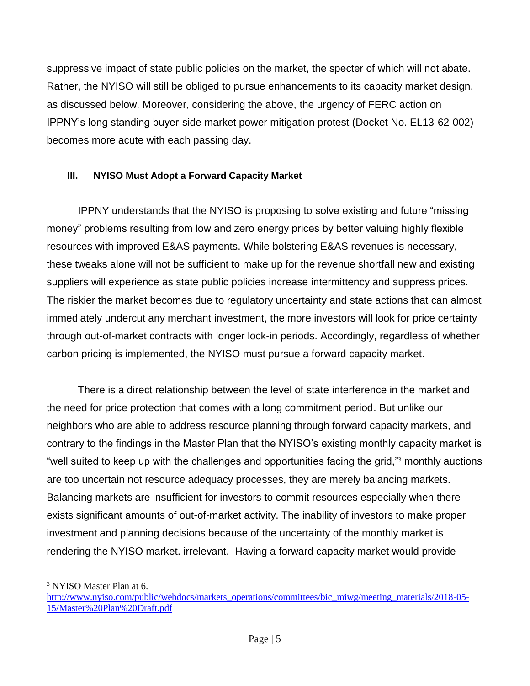suppressive impact of state public policies on the market, the specter of which will not abate. Rather, the NYISO will still be obliged to pursue enhancements to its capacity market design, as discussed below. Moreover, considering the above, the urgency of FERC action on IPPNY's long standing buyer-side market power mitigation protest (Docket No. EL13-62-002) becomes more acute with each passing day.

## **III. NYISO Must Adopt a Forward Capacity Market**

IPPNY understands that the NYISO is proposing to solve existing and future "missing money" problems resulting from low and zero energy prices by better valuing highly flexible resources with improved E&AS payments. While bolstering E&AS revenues is necessary, these tweaks alone will not be sufficient to make up for the revenue shortfall new and existing suppliers will experience as state public policies increase intermittency and suppress prices. The riskier the market becomes due to regulatory uncertainty and state actions that can almost immediately undercut any merchant investment, the more investors will look for price certainty through out-of-market contracts with longer lock-in periods. Accordingly, regardless of whether carbon pricing is implemented, the NYISO must pursue a forward capacity market.

There is a direct relationship between the level of state interference in the market and the need for price protection that comes with a long commitment period. But unlike our neighbors who are able to address resource planning through forward capacity markets, and contrary to the findings in the Master Plan that the NYISO's existing monthly capacity market is "well suited to keep up with the challenges and opportunities facing the grid,"<sup>3</sup> monthly auctions are too uncertain not resource adequacy processes, they are merely balancing markets. Balancing markets are insufficient for investors to commit resources especially when there exists significant amounts of out-of-market activity. The inability of investors to make proper investment and planning decisions because of the uncertainty of the monthly market is rendering the NYISO market. irrelevant. Having a forward capacity market would provide

 $\overline{a}$ <sup>3</sup> NYISO Master Plan at 6.

[http://www.nyiso.com/public/webdocs/markets\\_operations/committees/bic\\_miwg/meeting\\_materials/2018-05-](http://www.nyiso.com/public/webdocs/markets_operations/committees/bic_miwg/meeting_materials/2018-05-15/Master%20Plan%20Draft.pdf) [15/Master%20Plan%20Draft.pdf](http://www.nyiso.com/public/webdocs/markets_operations/committees/bic_miwg/meeting_materials/2018-05-15/Master%20Plan%20Draft.pdf)